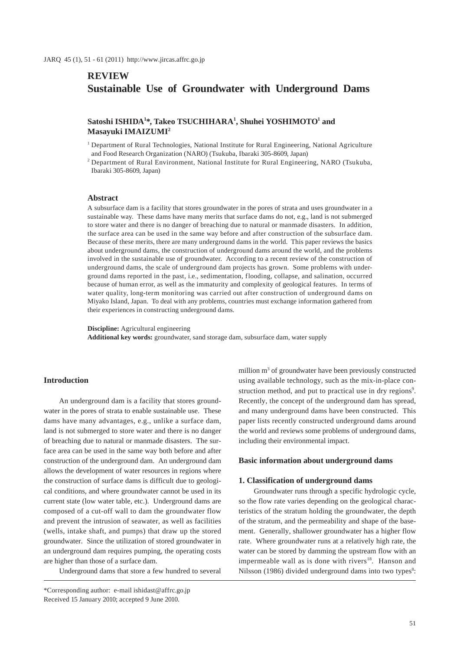# **REVIEW Sustainable Use of Groundwater with Underground Dams**

# $\mathbf{Satoshi ISHIDA}^{1*}, \mathbf{Takeo TSUCHIHARA}^{1}, \mathbf{Shuhei YOSHIMOTO}^{1}$  and **Masayuki IMAIZUMI2**

<sup>1</sup> Department of Rural Technologies, National Institute for Rural Engineering, National Agriculture and Food Research Organization (NARO) (Tsukuba, Ibaraki 305-8609, Japan)

<sup>2</sup> Department of Rural Environment, National Institute for Rural Engineering, NARO (Tsukuba, Ibaraki 305-8609, Japan)

### **Abstract**

A subsurface dam is a facility that stores groundwater in the pores of strata and uses groundwater in a sustainable way. These dams have many merits that surface dams do not, e.g., land is not submerged to store water and there is no danger of breaching due to natural or manmade disasters. In addition, the surface area can be used in the same way before and after construction of the subsurface dam. Because of these merits, there are many underground dams in the world. This paper reviews the basics about underground dams, the construction of underground dams around the world, and the problems involved in the sustainable use of groundwater. According to a recent review of the construction of underground dams, the scale of underground dam projects has grown. Some problems with underground dams reported in the past, i.e., sedimentation, flooding, collapse, and salination, occurred because of human error, as well as the immaturity and complexity of geological features. In terms of water quality, long-term monitoring was carried out after construction of underground dams on Miyako Island, Japan. To deal with any problems, countries must exchange information gathered from their experiences in constructing underground dams.

**Discipline:** Agricultural engineering **Additional key words:** groundwater, sand storage dam, subsurface dam, water supply

# **Introduction**

An underground dam is a facility that stores groundwater in the pores of strata to enable sustainable use. These dams have many advantages, e.g., unlike a surface dam, land is not submerged to store water and there is no danger of breaching due to natural or manmade disasters. The surface area can be used in the same way both before and after construction of the underground dam. An underground dam allows the development of water resources in regions where the construction of surface dams is difficult due to geological conditions, and where groundwater cannot be used in its current state (low water table, etc.). Underground dams are composed of a cut-off wall to dam the groundwater flow and prevent the intrusion of seawater, as well as facilities (wells, intake shaft, and pumps) that draw up the stored groundwater. Since the utilization of stored groundwater in an underground dam requires pumping, the operating costs are higher than those of a surface dam.

Underground dams that store a few hundred to several

\*Corresponding author: e-mail ishidast@affrc.go.jp Received 15 January 2010; accepted 9 June 2010.

million m<sup>3</sup> of groundwater have been previously constructed using available technology, such as the mix-in-place construction method, and put to practical use in dry regions<sup>9</sup>. Recently, the concept of the underground dam has spread, and many underground dams have been constructed. This paper lists recently constructed underground dams around the world and reviews some problems of underground dams, including their environmental impact.

### **Basic information about underground dams**

### **1. Classification of underground dams**

Groundwater runs through a specific hydrologic cycle, so the flow rate varies depending on the geological characteristics of the stratum holding the groundwater, the depth of the stratum, and the permeability and shape of the basement. Generally, shallower groundwater has a higher flow rate. Where groundwater runs at a relatively high rate, the water can be stored by damming the upstream flow with an impermeable wall as is done with rivers<sup>18</sup>. Hanson and Nilsson (1986) divided underground dams into two types<sup>8</sup>: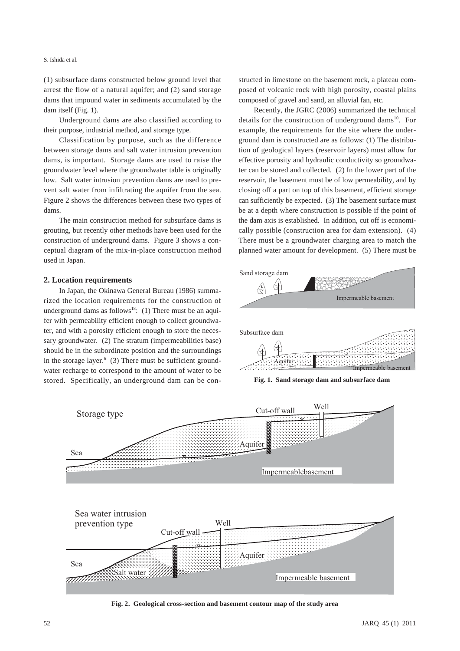#### S. Ishida et al.

(1) subsurface dams constructed below ground level that arrest the flow of a natural aquifer; and (2) sand storage dams that impound water in sediments accumulated by the dam itself (Fig. 1).

Underground dams are also classified according to their purpose, industrial method, and storage type.

Classification by purpose, such as the difference between storage dams and salt water intrusion prevention dams, is important. Storage dams are used to raise the groundwater level where the groundwater table is originally low. Salt water intrusion prevention dams are used to prevent salt water from infiltrating the aquifer from the sea. Figure 2 shows the differences between these two types of dams.

The main construction method for subsurface dams is grouting, but recently other methods have been used for the construction of underground dams. Figure 3 shows a conceptual diagram of the mix-in-place construction method used in Japan.

### **2. Location requirements**

In Japan, the Okinawa General Bureau (1986) summarized the location requirements for the construction of underground dams as follows<sup>18</sup>: (1) There must be an aquifer with permeability efficient enough to collect groundwater, and with a porosity efficient enough to store the necessary groundwater. (2) The stratum (impermeabilities base) should be in the subordinate position and the surroundings in the storage layer. $6$  (3) There must be sufficient groundwater recharge to correspond to the amount of water to be stored. Specifically, an underground dam can be con-

structed in limestone on the basement rock, a plateau composed of volcanic rock with high porosity, coastal plains composed of gravel and sand, an alluvial fan, etc.

Recently, the JGRC (2006) summarized the technical details for the construction of underground dams<sup>10</sup>. For example, the requirements for the site where the underground dam is constructed are as follows: (1) The distribution of geological layers (reservoir layers) must allow for effective porosity and hydraulic conductivity so groundwater can be stored and collected. (2) In the lower part of the reservoir, the basement must be of low permeability, and by closing off a part on top of this basement, efficient storage can sufficiently be expected. (3) The basement surface must be at a depth where construction is possible if the point of the dam axis is established. In addition, cut off is economically possible (construction area for dam extension). (4) There must be a groundwater charging area to match the planned water amount for development. (5) There must be



**Fig. 1. Sand storage dam and subsurface dam**



**Fig. 2. Geological cross-section and basement contour map of the study area**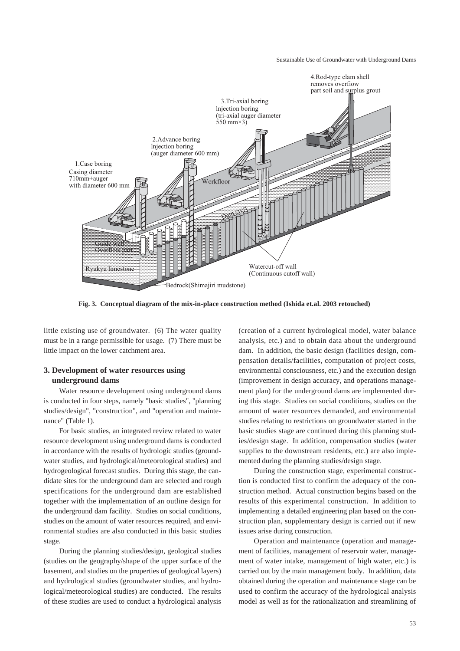Sustainable Use of Groundwater with Underground Dams



**Fig. 3. Conceptual diagram of the mix-in-place construction method (Ishida et.al. 2003 retouched)** 

little existing use of groundwater. (6) The water quality must be in a range permissible for usage. (7) There must be little impact on the lower catchment area.

## **3. Development of water resources using underground dams**

Water resource development using underground dams is conducted in four steps, namely "basic studies", "planning studies/design", "construction", and "operation and maintenance" (Table 1).

For basic studies, an integrated review related to water resource development using underground dams is conducted in accordance with the results of hydrologic studies (groundwater studies, and hydrological/meteorological studies) and hydrogeological forecast studies. During this stage, the candidate sites for the underground dam are selected and rough specifications for the underground dam are established together with the implementation of an outline design for the underground dam facility. Studies on social conditions, studies on the amount of water resources required, and environmental studies are also conducted in this basic studies stage.

During the planning studies/design, geological studies (studies on the geography/shape of the upper surface of the basement, and studies on the properties of geological layers) and hydrological studies (groundwater studies, and hydrological/meteorological studies) are conducted. The results of these studies are used to conduct a hydrological analysis (creation of a current hydrological model, water balance analysis, etc.) and to obtain data about the underground dam. In addition, the basic design (facilities design, compensation details/facilities, computation of project costs, environmental consciousness, etc.) and the execution design (improvement in design accuracy, and operations management plan) for the underground dams are implemented during this stage. Studies on social conditions, studies on the amount of water resources demanded, and environmental studies relating to restrictions on groundwater started in the basic studies stage are continued during this planning studies/design stage. In addition, compensation studies (water supplies to the downstream residents, etc.) are also implemented during the planning studies/design stage.

During the construction stage, experimental construction is conducted first to confirm the adequacy of the construction method. Actual construction begins based on the results of this experimental construction. In addition to implementing a detailed engineering plan based on the construction plan, supplementary design is carried out if new issues arise during construction.

Operation and maintenance (operation and management of facilities, management of reservoir water, management of water intake, management of high water, etc.) is carried out by the main management body. In addition, data obtained during the operation and maintenance stage can be used to confirm the accuracy of the hydrological analysis model as well as for the rationalization and streamlining of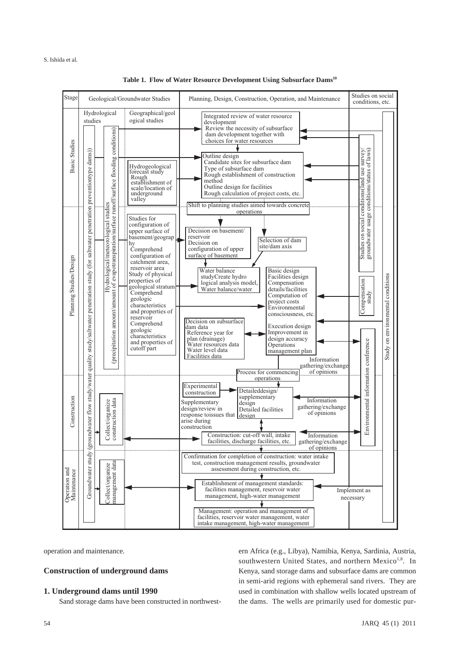



operation and maintenance.

## **Construction of underground dams**

### **1. Underground dams until 1990**

Sand storage dams have been constructed in northwest-

ern Africa (e.g., Libya), Namibia, Kenya, Sardinia, Austria, southwestern United States, and northern Mexico<sup>1,8</sup>. In Kenya, sand storage dams and subsurface dams are common in semi-arid regions with ephemeral sand rivers. They are used in combination with shallow wells located upstream of the dams. The wells are primarily used for domestic pur-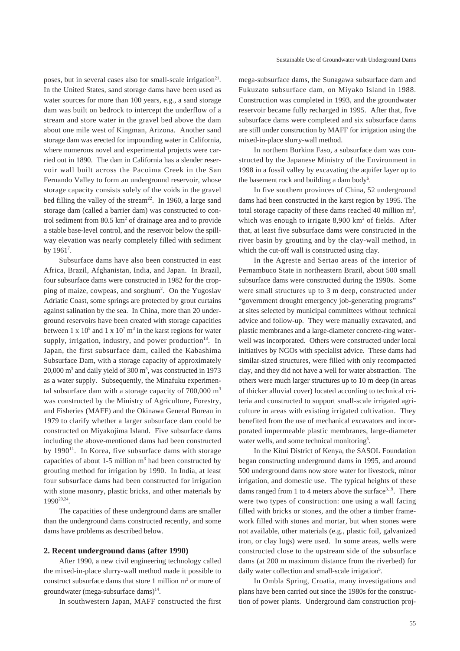poses, but in several cases also for small-scale irrigation<sup>21</sup>. In the United States, sand storage dams have been used as water sources for more than 100 years, e.g., a sand storage dam was built on bedrock to intercept the underflow of a stream and store water in the gravel bed above the dam about one mile west of Kingman, Arizona. Another sand storage dam was erected for impounding water in California, where numerous novel and experimental projects were carried out in 1890. The dam in California has a slender reservoir wall built across the Pacoima Creek in the San Fernando Valley to form an underground reservoir, whose storage capacity consists solely of the voids in the gravel bed filling the valley of the stream<sup>22</sup>. In 1960, a large sand storage dam (called a barrier dam) was constructed to control sediment from  $80.5 \text{ km}^2$  of drainage area and to provide a stable base-level control, and the reservoir below the spillway elevation was nearly completely filled with sediment by 1961<sup>7</sup>.

Subsurface dams have also been constructed in east Africa, Brazil, Afghanistan, India, and Japan. In Brazil, four subsurface dams were constructed in 1982 for the cropping of maize, cowpeas, and sorghum<sup>2</sup>. On the Yugoslav Adriatic Coast, some springs are protected by grout curtains against salination by the sea. In China, more than 20 underground reservoirs have been created with storage capacities between 1 x  $10^5$  and 1 x  $10^7$  m<sup>3</sup> in the karst regions for water supply, irrigation, industry, and power production $13$ . In Japan, the first subsurface dam, called the Kabashima Subsurface Dam, with a storage capacity of approximately  $20,000 \text{ m}^3$  and daily yield of  $300 \text{ m}^3$ , was constructed in 1973 as a water supply. Subsequently, the Minafuku experimental subsurface dam with a storage capacity of  $700,000 \text{ m}^3$ was constructed by the Ministry of Agriculture, Forestry, and Fisheries (MAFF) and the Okinawa General Bureau in 1979 to clarify whether a larger subsurface dam could be constructed on Miyakojima Island. Five subsurface dams including the above-mentioned dams had been constructed by 1990 $^{11}$ . In Korea, five subsurface dams with storage capacities of about 1-5 million  $m<sup>3</sup>$  had been constructed by grouting method for irrigation by 1990. In India, at least four subsurface dams had been constructed for irrigation with stone masonry, plastic bricks, and other materials by 199020,24.

The capacities of these underground dams are smaller than the underground dams constructed recently, and some dams have problems as described below.

#### **2. Recent underground dams (after 1990)**

After 1990, a new civil engineering technology called the mixed-in-place slurry-wall method made it possible to construct subsurface dams that store 1 million  $m<sup>3</sup>$  or more of groundwater (mega-subsurface dams) $^{14}$ .

In southwestern Japan, MAFF constructed the first

mega-subsurface dams, the Sunagawa subsurface dam and Fukuzato subsurface dam, on Miyako Island in 1988. Construction was completed in 1993, and the groundwater reservoir became fully recharged in 1995. After that, five subsurface dams were completed and six subsurface dams are still under construction by MAFF for irrigation using the mixed-in-place slurry-wall method.

In northern Burkina Faso, a subsurface dam was constructed by the Japanese Ministry of the Environment in 1998 in a fossil valley by excavating the aquifer layer up to the basement rock and building a dam body<sup>6</sup>.

In five southern provinces of China, 52 underground dams had been constructed in the karst region by 1995. The total storage capacity of these dams reached 40 million  $m^3$ , which was enough to irrigate  $8,900 \text{ km}^2$  of fields. After that, at least five subsurface dams were constructed in the river basin by grouting and by the clay-wall method, in which the cut-off wall is constructed using clay.

In the Agreste and Sertao areas of the interior of Pernambuco State in northeastern Brazil, about 500 small subsurface dams were constructed during the 1990s. Some were small structures up to 3 m deep, constructed under "government drought emergency job-generating programs" at sites selected by municipal committees without technical advice and follow-up. They were manually excavated, and plastic membranes and a large-diameter concrete-ring waterwell was incorporated. Others were constructed under local initiatives by NGOs with specialist advice. These dams had similar-sized structures, were filled with only recompacted clay, and they did not have a well for water abstraction. The others were much larger structures up to 10 m deep (in areas of thicker alluvial cover) located according to technical criteria and constructed to support small-scale irrigated agriculture in areas with existing irrigated cultivation. They benefited from the use of mechanical excavators and incorporated impermeable plastic membranes, large-diameter water wells, and some technical monitoring<sup>5</sup>.

In the Kitui District of Kenya, the SASOL Foundation began constructing underground dams in 1995, and around 500 underground dams now store water for livestock, minor irrigation, and domestic use. The typical heights of these dams ranged from 1 to 4 meters above the surface<sup>3,19</sup>. There were two types of construction: one using a wall facing filled with bricks or stones, and the other a timber framework filled with stones and mortar, but when stones were not available, other materials (e.g., plastic foil, galvanized iron, or clay lugs) were used. In some areas, wells were constructed close to the upstream side of the subsurface dams (at 200 m maximum distance from the riverbed) for daily water collection and small-scale irrigation<sup>5</sup>.

In Ombla Spring, Croatia, many investigations and plans have been carried out since the 1980s for the construction of power plants. Underground dam construction proj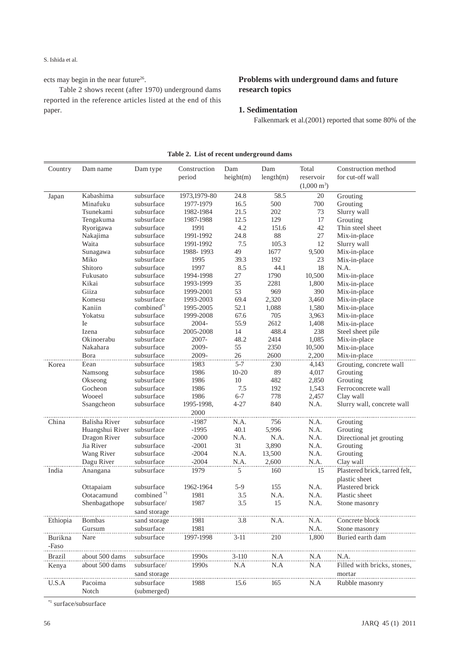S. Ishida et al.

ects may begin in the near future<sup>26</sup>.

Table 2 shows recent (after 1970) underground dams reported in the reference articles listed at the end of this paper.

# **Problems with underground dams and future research topics**

# **1. Sedimentation**

Falkenmark et al.(2001) reported that some 80% of the

| Country          | Dam name        | Dam type      | Construction<br>period | Dam<br>height(m) | Dam<br>length(m) | Total<br>reservoir<br>$(1,000 \text{ m}^3)$ | Construction method<br>for cut-off wall        |
|------------------|-----------------|---------------|------------------------|------------------|------------------|---------------------------------------------|------------------------------------------------|
| Japan            | Kabashima       | subsurface    | 1973, 1979-80          | 24.8             | 58.5             | 20                                          | Grouting                                       |
|                  | Minafuku        | subsurface    | 1977-1979              | 16.5             | 500              | 700                                         | Grouting                                       |
|                  | Tsunekami       | subsurface    | 1982-1984              | 21.5             | 202              | 73                                          | Slurry wall                                    |
|                  | Tengakuma       | subsurface    | 1987-1988              | 12.5             | 129              | 17                                          | Grouting                                       |
|                  | Ryorigawa       | subsurface    | 1991                   | 4.2              | 151.6            | 42                                          | Thin steel sheet                               |
|                  | Nakajima        | subsurface    | 1991-1992              | 24.8             | 88               | 27                                          | Mix-in-place                                   |
|                  | Waita           | subsurface    | 1991-1992              | 7.5              | 105.3            | 12                                          | Slurry wall                                    |
|                  | Sunagawa        | subsurface    | 1988-1993              | 49               | 1677             | 9,500                                       | Mix-in-place                                   |
|                  | Miko            | subsurface    | 1995                   | 39.3             | 192              | 23                                          | Mix-in-place                                   |
|                  | Shitoro         | subsurface    | 1997                   | 8.5              | 44.1             | 18                                          | N.A.                                           |
|                  | Fukusato        | subsurface    | 1994-1998              | 27               | 1790             | 10,500                                      | Mix-in-place                                   |
|                  | Kikai           | subsurface    | 1993-1999              | 35               | 2281             | 1,800                                       | Mix-in-place                                   |
|                  | Giiza           | subsurface    | 1999-2001              | 53               | 969              | 390                                         | Mix-in-place                                   |
|                  | Komesu          | subsurface    | 1993-2003              | 69.4             | 2,320            | 3,460                                       | Mix-in-place                                   |
|                  | Kaniin          | combined*1    | 1995-2005              | 52.1             | 1,088            | 1,580                                       | Mix-in-place                                   |
|                  | Yokatsu         | subsurface    | 1999-2008              | 67.6             | 705              | 3,963                                       | Mix-in-place                                   |
|                  | Ie              | subsurface    | 2004-                  | 55.9             | 2612             | 1,408                                       | Mix-in-place                                   |
|                  | Izena           | subsurface    | 2005-2008              | 14               | 488.4            | 238                                         | Steel sheet pile                               |
|                  | Okinoerabu      | subsurface    | 2007-                  | 48.2             | 2414             | 1,085                                       | Mix-in-place                                   |
|                  | Nakahara        | subsurface    | 2009-                  | 55               | 2350             | 10,500                                      | Mix-in-place                                   |
|                  | Bora            | subsurface    | 2009-                  | 26               | 2600             | 2,200                                       | Mix-in-place                                   |
| Korea            | Eean            | subsurface    | 1983                   | $5 - 7$          | 230              | 4,143                                       | Grouting, concrete wall                        |
|                  | Namsong         | subsurface    | 1986                   | $10 - 20$        | 89               | 4,017                                       | Grouting                                       |
|                  | Okseong         | subsurface    | 1986                   | 10               | 482              | 2,850                                       | Grouting                                       |
|                  | Gocheon         | subsurface    | 1986                   | 7.5              | 192              | 1,543                                       | Ferroconcrete wall                             |
|                  | Wooeel          | subsurface    | 1986                   | $6 - 7$          | 778              | 2,457                                       | Clay wall                                      |
|                  | Ssangcheon      | subsurface    | 1995-1998,             | $4 - 27$         | 840              | N.A.                                        | Slurry wall, concrete wall                     |
|                  |                 |               | 2000                   |                  |                  |                                             |                                                |
| China            | Balisha River   | subsurface    | $-1987$                | N.A.             | 756              | N.A.                                        | Grouting                                       |
|                  | Huangshui River | subsurface    | $-1995$                | 40.1             | 5,996            | N.A.                                        | Grouting                                       |
|                  | Dragon River    | subsurface    | $-2000$                | N.A.             | N.A.             | N.A.                                        | Directional jet grouting                       |
|                  | Jia River       | subsurface    | $-2001$                | 31               | 3,890            | N.A.                                        | Grouting                                       |
|                  | Wang River      | subsurface    | $-2004$                | N.A.             | 13,500           | N.A.                                        | Grouting                                       |
|                  | Dagu River      | subsurface    | $-2004$                | N.A.             | 2,600            | N.A.                                        | Clay wall                                      |
| India            | Anangana        | subsurface    | 1979                   | 5                | 160              | 15                                          | Plastered brick, tarred felt,<br>plastic sheet |
|                  | Ottapaiam       | subsurface    | 1962-1964              | $5-9$            | 155              | N.A.                                        | Plastered brick                                |
|                  | Ootacamund      | combined $*1$ | 1981                   | 3.5              | N.A.             | N.A.                                        | Plastic sheet                                  |
|                  | Shenbagathope   | subsurface/   | 1987                   | 3.5              | 15               | N.A.                                        | Stone masonry                                  |
|                  |                 | sand storage  |                        |                  |                  |                                             |                                                |
| Ethiopia         | <b>Bombas</b>   | sand storage  | 1981                   | 3.8              | N.A.             | N.A.                                        | Concrete block                                 |
|                  | Gursum          | subsurface    | 1981                   |                  |                  | N.A.                                        | Stone masonry                                  |
| Burikna<br>-Faso | Nare            | subsurface    | 1997-1998              | $3-11$           | 210              | 1,800                                       | Buried earth dam                               |
| <b>Brazil</b>    | about 500 dams  | subsurface    | 1990s                  | 3-110            | N.A              | N.A                                         | N.A.                                           |
| Kenya            | about 500 dams  | subsurface/   | 1990s                  | N.A              | N.A              | N.A                                         | Filled with bricks, stones,                    |
|                  |                 | sand storage  |                        |                  |                  |                                             | ${\rm mortar}$                                 |
| U.S.A            | Pacoima         | subsurface    | 1988                   | 15.6             | 165              | N.A                                         | Rubble masonry                                 |
|                  | Notch           | (submerged)   |                        |                  |                  |                                             |                                                |

# **Table 2. List of recent underground dams**

 $\displaystyle{ }^{*_1}$  surface/subsurface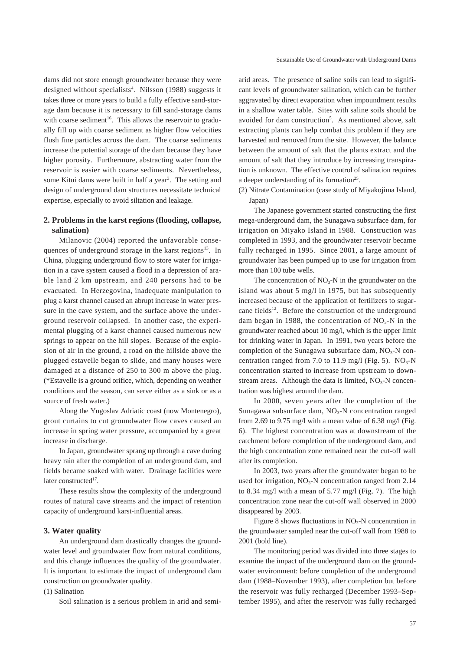dams did not store enough groundwater because they were designed without specialists<sup>4</sup>. Nilsson (1988) suggests it takes three or more years to build a fully effective sand-storage dam because it is necessary to fill sand-storage dams with coarse sediment<sup>16</sup>. This allows the reservoir to gradually fill up with coarse sediment as higher flow velocities flush fine particles across the dam. The coarse sediments increase the potential storage of the dam because they have higher porosity. Furthermore, abstracting water from the reservoir is easier with coarse sediments. Nevertheless, some Kitui dams were built in half a year<sup>3</sup>. The setting and design of underground dam structures necessitate technical expertise, especially to avoid siltation and leakage.

# **2. Problems in the karst regions (flooding, collapse, salination)**

Milanovic (2004) reported the unfavorable consequences of underground storage in the karst regions $13$ . In China, plugging underground flow to store water for irrigation in a cave system caused a flood in a depression of arable land 2 km upstream, and 240 persons had to be evacuated. In Herzegovina, inadequate manipulation to plug a karst channel caused an abrupt increase in water pressure in the cave system, and the surface above the underground reservoir collapsed. In another case, the experimental plugging of a karst channel caused numerous new springs to appear on the hill slopes. Because of the explosion of air in the ground, a road on the hillside above the plugged estavelle began to slide, and many houses were damaged at a distance of 250 to 300 m above the plug. (\*Estavelle is a ground orifice, which, depending on weather conditions and the season, can serve either as a sink or as a source of fresh water.)

Along the Yugoslav Adriatic coast (now Montenegro), grout curtains to cut groundwater flow caves caused an increase in spring water pressure, accompanied by a great increase in discharge.

In Japan, groundwater sprang up through a cave during heavy rain after the completion of an underground dam, and fields became soaked with water. Drainage facilities were later constructed $17$ .

These results show the complexity of the underground routes of natural cave streams and the impact of retention capacity of underground karst-influential areas.

### **3. Water quality**

An underground dam drastically changes the groundwater level and groundwater flow from natural conditions, and this change influences the quality of the groundwater. It is important to estimate the impact of underground dam construction on groundwater quality.

# (1) Salination

Soil salination is a serious problem in arid and semi-

arid areas. The presence of saline soils can lead to significant levels of groundwater salination, which can be further aggravated by direct evaporation when impoundment results in a shallow water table. Sites with saline soils should be avoided for dam construction<sup>5</sup>. As mentioned above, salt extracting plants can help combat this problem if they are harvested and removed from the site. However, the balance between the amount of salt that the plants extract and the amount of salt that they introduce by increasing transpiration is unknown. The effective control of salination requires a deeper understanding of its formation<sup>25</sup>.

(2) Nitrate Contamination (case study of Miyakojima Island, Japan)

The Japanese government started constructing the first mega-underground dam, the Sunagawa subsurface dam, for irrigation on Miyako Island in 1988. Construction was completed in 1993, and the groundwater reservoir became fully recharged in 1995. Since 2001, a large amount of groundwater has been pumped up to use for irrigation from more than 100 tube wells.

The concentration of  $NO_3-N$  in the groundwater on the island was about 5 mg/l in 1975, but has subsequently increased because of the application of fertilizers to sugarcane fields<sup>12</sup>. Before the construction of the underground dam began in 1988, the concentration of  $NO_3-N$  in the groundwater reached about 10 mg/l, which is the upper limit for drinking water in Japan. In 1991, two years before the completion of the Sunagawa subsurface dam,  $NO_3-N$  concentration ranged from 7.0 to 11.9 mg/l (Fig. 5).  $NO<sub>3</sub>-N$ concentration started to increase from upstream to downstream areas. Although the data is limited,  $NO_3-N$  concentration was highest around the dam.

In 2000, seven years after the completion of the Sunagawa subsurface dam,  $NO<sub>3</sub>-N$  concentration ranged from 2.69 to 9.75 mg/l with a mean value of 6.38 mg/l (Fig. 6). The highest concentration was at downstream of the catchment before completion of the underground dam, and the high concentration zone remained near the cut-off wall after its completion.

In 2003, two years after the groundwater began to be used for irrigation,  $NO_3-N$  concentration ranged from 2.14 to 8.34 mg/l with a mean of 5.77 mg/l (Fig. 7). The high concentration zone near the cut-off wall observed in 2000 disappeared by 2003.

Figure 8 shows fluctuations in  $NO<sub>3</sub>-N$  concentration in the groundwater sampled near the cut-off wall from 1988 to 2001 (bold line).

The monitoring period was divided into three stages to examine the impact of the underground dam on the groundwater environment: before completion of the underground dam (1988–November 1993), after completion but before the reservoir was fully recharged (December 1993–September 1995), and after the reservoir was fully recharged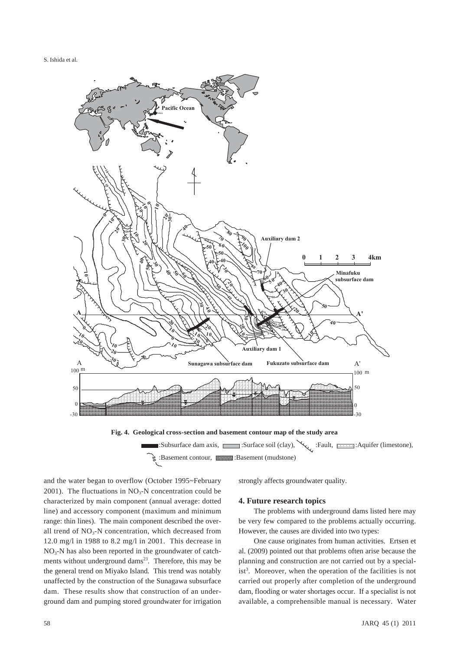

**Fig. 4. Geological cross-section and basement contour map of the study area** 

:Subsurface dam axis,  $\Box$ :Surface soil (clay),  $\searrow$ :Fault,  $\Box$ :Aquifer (limestone), :Basement contour, **Basement** (mudstone)

and the water began to overflow (October 1995~February 2001). The fluctuations in  $NO<sub>3</sub>-N$  concentration could be characterized by main component (annual average: dotted line) and accessory component (maximum and minimum range: thin lines). The main component described the overall trend of  $NO_3$ -N concentration, which decreased from 12.0 mg/l in 1988 to 8.2 mg/l in 2001. This decrease in  $NO<sub>3</sub>-N$  has also been reported in the groundwater of catchments without underground dams<sup>23</sup>. Therefore, this may be the general trend on Miyako Island. This trend was notably unaffected by the construction of the Sunagawa subsurface dam. These results show that construction of an underground dam and pumping stored groundwater for irrigation

# strongly affects groundwater quality.

### **4. Future research topics**

The problems with underground dams listed here may be very few compared to the problems actually occurring. However, the causes are divided into two types:

One cause originates from human activities. Ertsen et al. (2009) pointed out that problems often arise because the planning and construction are not carried out by a specialist<sup>3</sup>. Moreover, when the operation of the facilities is not carried out properly after completion of the underground dam, flooding or water shortages occur. If a specialist is not available, a comprehensible manual is necessary. Water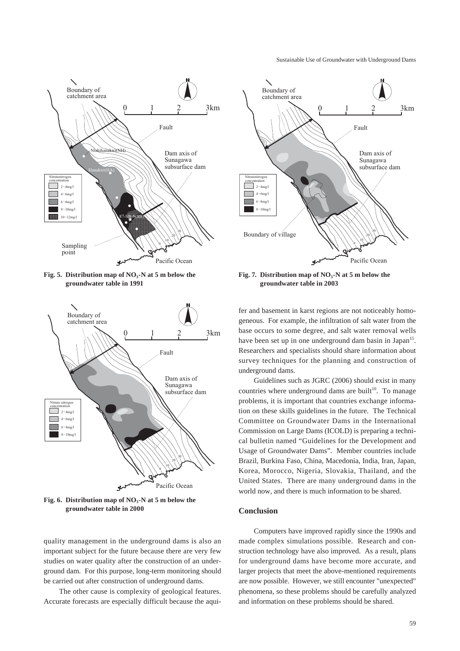Sustainable Use of Groundwater with Underground Dams



Fig. 5. Distribution map of NO<sub>3</sub>-N at 5 m below the **groundwater table in 1991**



Fig. 6. Distribution map of NO<sub>3</sub>-N at 5 m below the **groundwater table in 2000**

quality management in the underground dams is also an important subject for the future because there are very few studies on water quality after the construction of an underground dam. For this purpose, long-term monitoring should be carried out after construction of underground dams.

The other cause is complexity of geological features. Accurate forecasts are especially difficult because the aqui-



Fig. 7. Distribution map of  $NO<sub>3</sub>$ -N at 5 m below the **groundwater table in 2003**

fer and basement in karst regions are not noticeably homogeneous. For example, the infiltration of salt water from the base occurs to some degree, and salt water removal wells have been set up in one underground dam basin in Japan<sup>15</sup>. Researchers and specialists should share information about survey techniques for the planning and construction of underground dams.

Guidelines such as JGRC (2006) should exist in many countries where underground dams are built<sup>10</sup>. To manage problems, it is important that countries exchange information on these skills guidelines in the future. The Technical Committee on Groundwater Dams in the International Commission on Large Dams (ICOLD) is preparing a technical bulletin named "Guidelines for the Development and Usage of Groundwater Dams". Member countries include Brazil, Burkina Faso, China, Macedonia, India, Iran, Japan, Korea, Morocco, Nigeria, Slovakia, Thailand, and the United States. There are many underground dams in the world now, and there is much information to be shared.

### **Conclusion**

Computers have improved rapidly since the 1990s and made complex simulations possible. Research and construction technology have also improved. As a result, plans for underground dams have become more accurate, and larger projects that meet the above-mentioned requirements are now possible. However, we still encounter "unexpected" phenomena, so these problems should be carefully analyzed and information on these problems should be shared.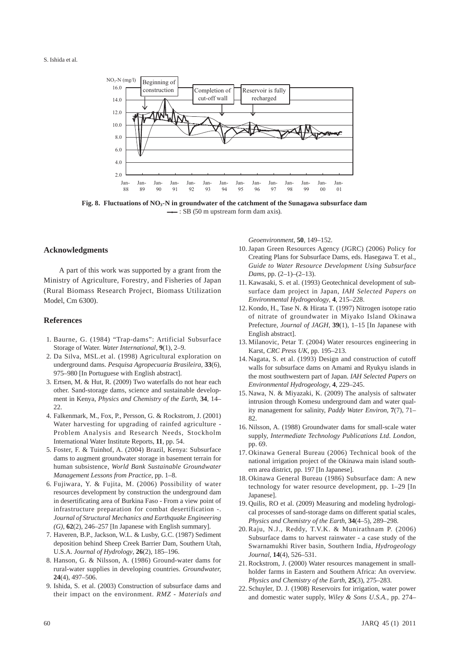#### S. Ishida et al.



**Fig. 8. Fluctuations of NO3-N in groundwater of the catchment of the Sunagawa subsurface dam**  $\leftarrow$ : SB (50 m upstream form dam axis).

### **Acknowledgments**

A part of this work was supported by a grant from the Ministry of Agriculture, Forestry, and Fisheries of Japan (Rural Biomass Research Project, Biomass Utilization Model, Cm 6300).

#### **References**

- 1. Baurne, G. (1984) "Trap-dams": Artificial Subsurface Storage of Water. *Water International*, **9**(1), 2–9.
- 2. Da Silva, MSL.et al. (1998) Agricultural exploration on underground dams. *Pesquisa Agropecuaria Brasileira,* **33**(6), 975–980 [In Portuguese with English abstract].
- 3. Ertsen, M. & Hut, R. (2009) Two waterfalls do not hear each other. Sand-storage dams, science and sustainable development in Kenya, *Physics and Chemistry of the Earth*, **34**, 14– 22.
- 4. Falkenmark, M., Fox, P., Persson, G. & Rockstrom, J. (2001) Water harvesting for upgrading of rainfed agriculture - Problem Analysis and Research Needs, Stockholm International Water Institute Reports, **11**, pp. 54.
- 5. Foster, F. & Tuinhof, A. (2004) Brazil, Kenya: Subsurface dams to augment groundwater storage in basement terrain for human subsistence, *World Bank Sustainable Groundwater Management Lessons from Practice*, pp. 1–8.
- 6. Fujiwara, Y. & Fujita, M. (2006) Possibility of water resources development by construction the underground dam in desertificating area of Burkina Faso - From a view point of infrastructure preparation for combat desertification -. *Journal of Structural Mechanics and Earthquake Engineering (G)*, **62**(2), 246–257 [In Japanese with English summary].
- 7. Haveren, B.P., Jackson, W.L. & Lusby, G.C. (1987) Sediment deposition behind Sheep Creek Barrier Dam, Southern Utah, U.S.A. *Journal of Hydrology*, **26**(2), 185–196.
- 8. Hanson, G. & Nilsson, A. (1986) Ground-water dams for rural-water supplies in developing countries. *Groundwater,*  **24**(4), 497–506.
- 9. Ishida, S. et al. (2003) Construction of subsurface dams and their impact on the environment. *RMZ - Materials and*

*Geoenvironment*, **50**, 149–152.

- 10. Japan Green Resources Agency (JGRC) (2006) Policy for Creating Plans for Subsurface Dams, eds. Hasegawa T. et al., *Guide to Water Resource Development Using Subsurface Dams*, pp. (2–1)–(2–13).
- 11. Kawasaki, S. et al. (1993) Geotechnical development of subsurface dam project in Japan, *IAH Selected Papers on Environmental Hydrogeology*, **4**, 215–228.
- 12. Kondo, H., Tase N. & Hirata T. (1997) Nitrogen isotope ratio of nitrate of groundwater in Miyako Island Okinawa Prefecture, *Journal of JAGH*, **39**(1), 1–15 [In Japanese with English abstract].
- 13. Milanovic, Petar T. (2004) Water resources engineering in Karst, *CRC Press UK*, pp. 195–213.
- 14. Nagata, S. et al. (1993) Design and construction of cutoff walls for subsurface dams on Amami and Ryukyu islands in the most southwestern part of Japan. *IAH Selected Papers on Environmental Hydrogeology*, **4**, 229–245.
- 15. Nawa, N. & Miyazaki, K. (2009) The analysis of saltwater intrusion through Komesu underground dam and water quality management for salinity, *Paddy Water Environ*, **7**(7), 71– 82.
- 16. Nilsson, A. (1988) Groundwater dams for small-scale water supply, *Intermediate Technology Publications Ltd*. *London*, pp. 69.
- 17. Okinawa General Bureau (2006) Technical book of the national irrigation project of the Okinawa main island southern area district, pp. 197 [In Japanese].
- 18. Okinawa General Bureau (1986) Subsurface dam: A new technology for water resource development, pp. 1–29 [In Japanese].
- 19. Quilis, RO et al. (2009) Measuring and modeling hydrological processes of sand-storage dams on different spatial scales, *Physics and Chemistry of the Earth*, **34**(4–5), 289–298.
- 20. Raju, N.J., Reddy, T.V.K. & Munirathnam P. (2006) Subsurface dams to harvest rainwater - a case study of the Swarnamukhi River basin, Southern India, *Hydrogeology Journal*, **14**(4), 526–531.
- 21. Rockstrom, J. (2000) Water resources management in smallholder farms in Eastern and Southern Africa: An overview. *Physics and Chemistry of the Earth*, **25**(3), 275–283.
- 22. Schuyler, D. J. (1908) Reservoirs for irrigation, water power and domestic water supply, *Wiley & Sons U.S.A.*, pp. 274–